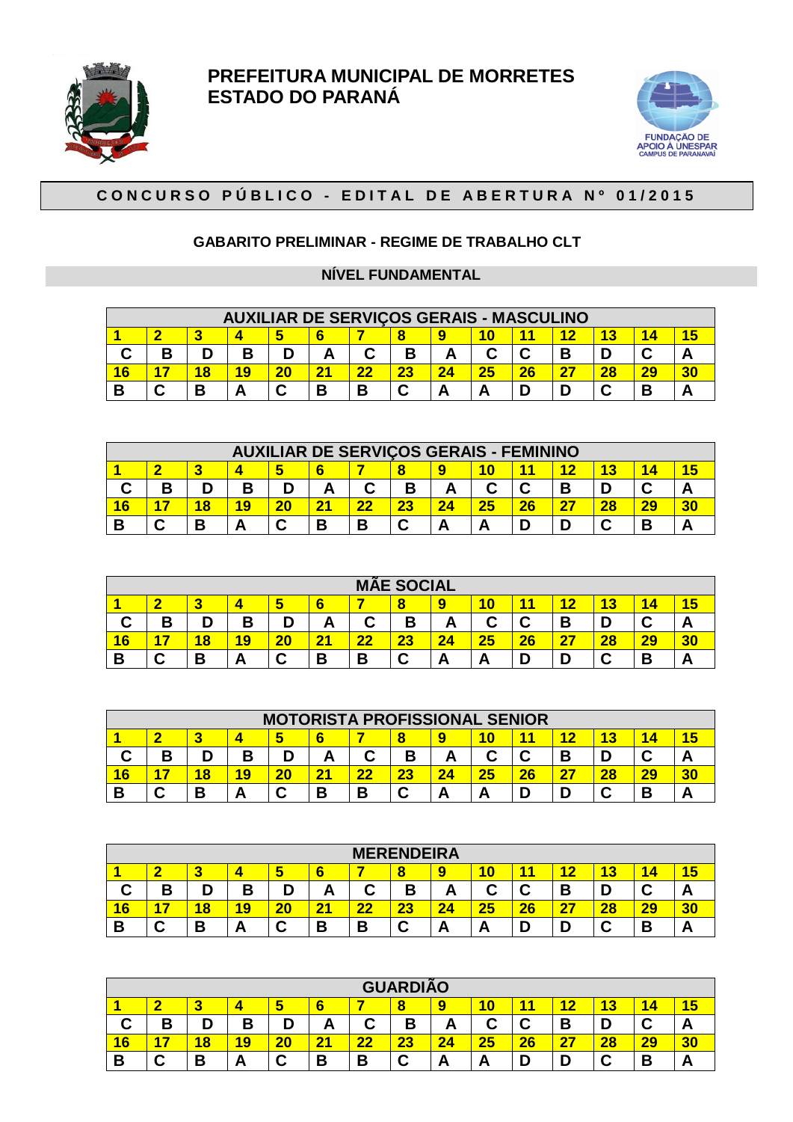



## CONCURSO PÚBLICO - EDITAL DE ABERTURA Nº 01/2015

#### **GABARITO PRELIMINAR - REGIME DE TRABALHO CLT**

#### **NÍVEL FUNDAMENTAL**

|   |   |   | <b>AUXILIAR DE SERVIÇOS GERAIS - MASCULINO</b> |    |                |        |    |  |  |    |    |    |    |  |  |
|---|---|---|------------------------------------------------|----|----------------|--------|----|--|--|----|----|----|----|--|--|
|   |   |   |                                                |    |                |        |    |  |  |    |    |    |    |  |  |
|   | В |   | Β                                              |    |                | ◠<br>u | в  |  |  |    |    |    |    |  |  |
| 6 |   |   |                                                | 20 | 2 <sup>1</sup> | 22     | 23 |  |  | 26 | 27 | 28 | 29 |  |  |
|   | ⌒ | В |                                                |    | В              | В      |    |  |  |    |    |    | в  |  |  |

|    |  |   |    |   |   | <b>AUXILIAR DE SERVIÇOS GERAIS - FEMININO</b> |    |  |    |  |   |  |    |  |  |
|----|--|---|----|---|---|-----------------------------------------------|----|--|----|--|---|--|----|--|--|
|    |  |   |    |   |   |                                               |    |  |    |  |   |  |    |  |  |
|    |  |   | R  | D |   |                                               |    |  |    |  | R |  |    |  |  |
| lĥ |  |   | 19 |   |   |                                               | າາ |  | った |  |   |  | 20 |  |  |
|    |  | В |    |   | B | В                                             | ⌒  |  |    |  |   |  | в  |  |  |

|        |                                                                 |   |        |    |                       | M, | <b>ÃE SOCIAL</b> |    |    |    |    |    |    |    |
|--------|-----------------------------------------------------------------|---|--------|----|-----------------------|----|------------------|----|----|----|----|----|----|----|
|        | 19<br>14<br>6<br>13<br>◚<br>o<br>כו<br><b>Part</b>              |   |        |    |                       |    |                  |    |    |    |    |    |    |    |
| u      | ◠<br>C<br>в<br>В<br>ח<br>D<br>D<br>◠<br>в<br>u,<br>D<br>́г<br>– |   |        |    |                       |    |                  |    |    |    |    |    |    |    |
| 6      |                                                                 | 8 | 19     | 20 | $\mathbf{2}^{\prime}$ |    | 23               | 24 | 25 | 26 | 27 | 28 | 29 | 30 |
| Ð<br>D | ⌒                                                               | в | A<br>− |    | В                     | В  | ⌒<br>ີ           |    | Ē  |    | D  |    | В  |    |

|   |                                   |   |    |    |                |   |        | <b>MOTORISTA PROFISSIONAL SENIOR</b> |    |    |     |    |    |  |  |
|---|-----------------------------------|---|----|----|----------------|---|--------|--------------------------------------|----|----|-----|----|----|--|--|
|   | 12<br>14<br>6<br>o<br>Ю           |   |    |    |                |   |        |                                      |    |    |     |    |    |  |  |
| u | С<br>C<br>В<br>В<br>D<br><b>_</b> |   |    |    |                |   |        |                                      |    |    |     |    |    |  |  |
| 6 |                                   | 8 | 19 | 20 | 2 <sup>1</sup> |   | 23     |                                      | 25 | 26 | -27 | 28 | 29 |  |  |
| D | ⌒<br>ື                            | В | Α  |    | B              | В | ◠<br>ື |                                      | n  |    | D   |    | В  |  |  |

|        |                                                                                  |        |    |    |   |           | <b>MERENDEIRA</b> |          |    |    |          |    |        |  |  |
|--------|----------------------------------------------------------------------------------|--------|----|----|---|-----------|-------------------|----------|----|----|----------|----|--------|--|--|
|        | ▬<br>49<br>o<br>4<br>ю<br>o<br>u<br>- 14<br>$\sim$<br>-<br>÷                     |        |    |    |   |           |                   |          |    |    |          |    |        |  |  |
| ⌒<br>u | В<br>в<br>◠<br>n<br>⌒<br>◠<br>$\sim$<br>Р<br>о<br>U<br>ີ<br>. .<br>́г<br>Л<br>r. |        |    |    |   |           |                   |          |    |    |          |    |        |  |  |
| 16     | -                                                                                | 18     | 19 | 20 | 2 | <b>OC</b> | າາ<br>40          |          | 25 | 26 | דפ<br>н. | 28 | 29     |  |  |
| В      | ~<br>ີ                                                                           | D<br>P | Α  | ີ  | В | -<br>J    | ⌒<br>u            | <b>–</b> | n  |    |          |    | D<br>D |  |  |

|                |                                                                                                     |                         |    |        |                |                          | <b>GUARDIÃO</b> |    |        |    |           |    |    |    |  |
|----------------|-----------------------------------------------------------------------------------------------------|-------------------------|----|--------|----------------|--------------------------|-----------------|----|--------|----|-----------|----|----|----|--|
|                | 15<br>19<br>$6\phantom{1}6$<br>1 N<br>14<br>49<br>∼<br>o<br>ь<br>ю<br><b>Part</b><br>o<br>u<br>- 19 |                         |    |        |                |                          |                 |    |        |    |           |    |    |    |  |
| ◠<br>v         | ⌒<br>C<br>в<br>D<br>В<br>D<br>D<br>⌒<br>В<br>◡<br>о<br>ື<br>Л<br>́г<br><u>r</u>                     |                         |    |        |                |                          |                 |    |        |    |           |    |    |    |  |
| $\overline{6}$ |                                                                                                     | $\overline{\textbf{8}}$ | 19 | 20     | 2 <sup>1</sup> | $\overline{\mathbf{22}}$ | 23              | 24 | 25     | 26 | <b>27</b> | 28 | 29 | 30 |  |
| в              | ⌒<br>ື                                                                                              | В                       | Α  | ⌒<br>ີ | В              | В                        | ⌒<br>ື          | г  | л<br>Ē |    | D         | ◠  | В  |    |  |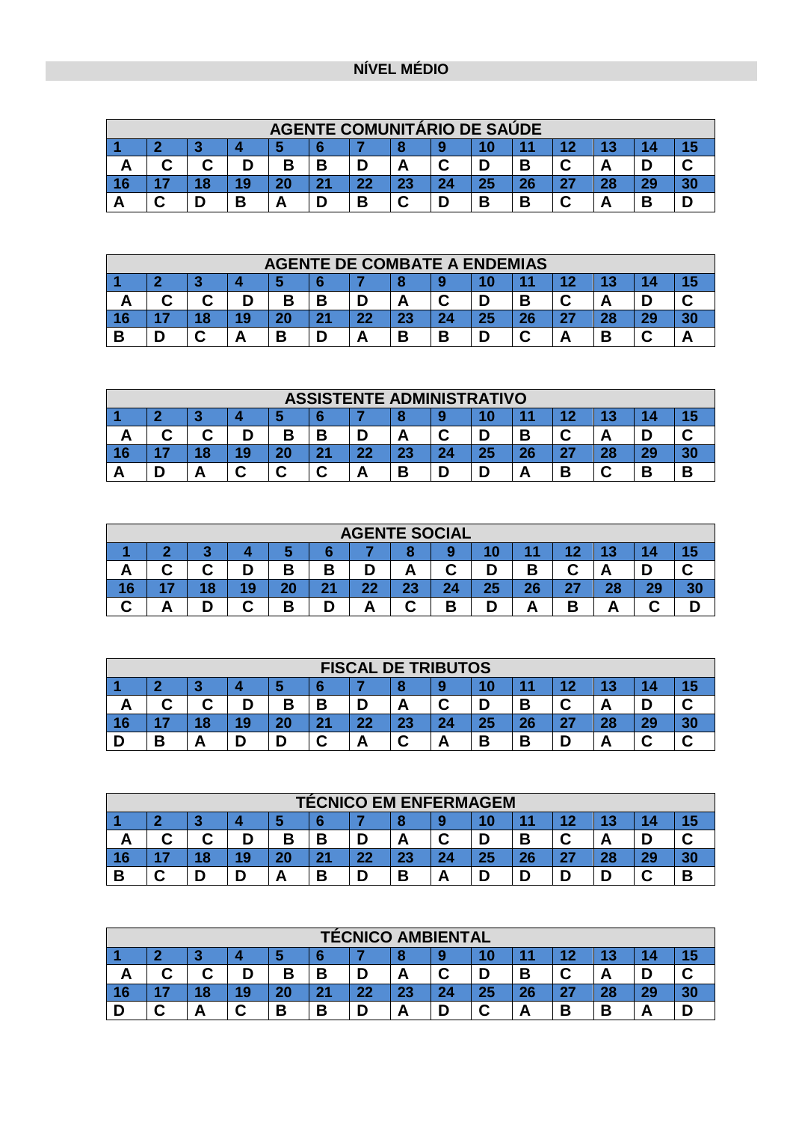## **NÍVEL MÉDIO**

|   |                       |  |   |  |     | <b>AGENTE COMUNITÁRIO DE SAUDE</b> |    |  |    |    |    |  |    |  |  |
|---|-----------------------|--|---|--|-----|------------------------------------|----|--|----|----|----|--|----|--|--|
|   |                       |  |   |  |     |                                    |    |  |    |    |    |  |    |  |  |
| - | В<br>В<br>⌒<br>⌒<br>r |  |   |  |     |                                    |    |  |    |    |    |  |    |  |  |
|   |                       |  |   |  | -94 | 22                                 | 23 |  | 25 | ^^ | דפ |  | 29 |  |  |
|   | ⌒                     |  | B |  |     | В                                  | ⌒  |  | B  | -  | ◠  |  | в  |  |  |

|    |                  |  |  |    | <b>AGENTE DE COMBATE A ENDEMIAS</b> |    |         |    |    |    |    |    |    |  |  |
|----|------------------|--|--|----|-------------------------------------|----|---------|----|----|----|----|----|----|--|--|
|    |                  |  |  |    |                                     |    |         |    |    |    |    |    |    |  |  |
| Δ  | В<br>В<br>Л<br>− |  |  |    |                                     |    |         |    |    |    |    |    |    |  |  |
| 16 |                  |  |  | 20 | 24                                  | 22 | າາ<br>æ | 24 | 25 | 26 | דפ | 28 | 90 |  |  |
| D  |                  |  |  | B  |                                     |    | В       |    |    |    |    |    |    |  |  |

|    |                                           |  |   |    | <b>ASSISTENTE ADMINISTRATIVO</b> |    |        |  |    |    |           |  |    |  |  |
|----|-------------------------------------------|--|---|----|----------------------------------|----|--------|--|----|----|-----------|--|----|--|--|
|    |                                           |  |   |    |                                  |    |        |  |    |    |           |  |    |  |  |
| г. | В<br>⌒<br>Β<br>D<br>r<br>o<br>Д<br>n<br>r |  |   |    |                                  |    |        |  |    |    |           |  |    |  |  |
| 16 |                                           |  | м | 20 | 2 <sup>1</sup>                   | 22 | 23     |  | 25 | ^^ | כפ<br>- 1 |  | 29 |  |  |
|    |                                           |  |   |    | ◠<br>ື                           |    | D<br>m |  |    |    | В         |  | В  |  |  |

|     |   |     |     |        |   |    |    | <b>AGENTE SOCIAL</b> |    |        |    |    |     |    |
|-----|---|-----|-----|--------|---|----|----|----------------------|----|--------|----|----|-----|----|
| - 1 |   |     |     |        |   |    |    |                      |    |        |    |    |     |    |
| ́г  | ⌒ | ⌒   | D   | В      | в |    |    | C                    |    | Β      |    |    |     |    |
| 16  |   | 4 O | 9 ا | 20     |   | 22 | 23 | 24                   | 25 | 26     | ົາ | 28 | ne. | 20 |
|     |   | r   |     | D<br>n |   |    | ⌒  | P<br>n               |    | Л<br>− | D  |    |     |    |

|    |                                 |  |  |    |           | <b>FISCAL DE TRIBUTOS</b> |        |    |    |    |           |    |         |  |  |
|----|---------------------------------|--|--|----|-----------|---------------------------|--------|----|----|----|-----------|----|---------|--|--|
|    |                                 |  |  |    |           |                           |        |    |    |    |           |    |         |  |  |
| −  | В<br>⌒<br>R<br>◠<br>⌒<br>r<br>А |  |  |    |           |                           |        |    |    |    |           |    |         |  |  |
| 16 |                                 |  |  | 20 | <b>Dr</b> | 22                        | 23     | 24 | 25 | Ωr | ົາ<br>- 1 | ົດ | 20<br>æ |  |  |
|    | D<br>D                          |  |  |    |           |                           | ◠<br>ື |    | B  |    |           |    | ⌒       |  |  |

|    |                                 |    |  |    | <b>TÉCNICO EM ENFERMAGEM</b> |    |    |  |    |    |    |  |    |  |  |
|----|---------------------------------|----|--|----|------------------------------|----|----|--|----|----|----|--|----|--|--|
|    | о                               |    |  |    |                              |    |    |  |    |    |    |  |    |  |  |
| -  | В<br>B<br>⌒<br>⌒<br>⌒<br>◠<br>А |    |  |    |                              |    |    |  |    |    |    |  |    |  |  |
| 16 |                                 | 18 |  | 20 | 2 <sub>1</sub>               | 22 | 23 |  | 25 | 26 | 27 |  | 29 |  |  |
| В  | ◠                               |    |  |    | В                            |    | В  |  |    |    |    |  | ⌒  |  |  |

|        |                                      |   |    |        |                | <b>TÉCNICO AMBIENTAL</b> |    |  |        |    |    |    |    |  |  |
|--------|--------------------------------------|---|----|--------|----------------|--------------------------|----|--|--------|----|----|----|----|--|--|
|        | - 110                                |   |    |        |                |                          |    |  |        |    |    |    |    |  |  |
| Δ<br>г | ⌒<br>B<br>◠<br>D<br>B<br>В<br>Α<br>u |   |    |        |                |                          |    |  |        |    |    |    |    |  |  |
| 16     |                                      | 8 | 19 | 20     | 2 <sup>1</sup> | 22                       | 23 |  | 25     | 26 | 27 | 28 | 29 |  |  |
|        |                                      |   | ⌒  | D<br>в | В              |                          | Α  |  | ◠<br>u |    | В  | В  | -  |  |  |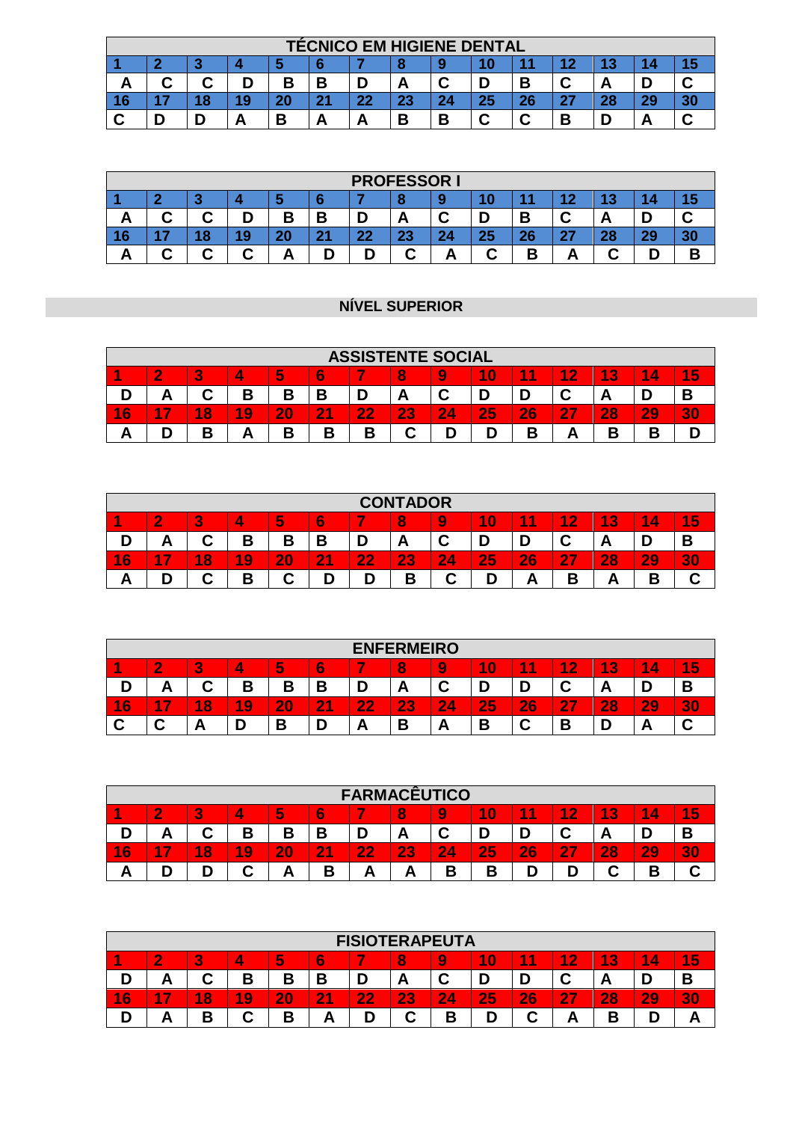|    |                  |    |  |    |    |    |    |   | <b>TÉCNICO EM HIGIENE DENTAL</b> |    |    |    |    |  |  |
|----|------------------|----|--|----|----|----|----|---|----------------------------------|----|----|----|----|--|--|
|    |                  |    |  |    |    |    |    |   |                                  |    |    |    |    |  |  |
| г  | ⌒<br>B<br>Β<br>Α |    |  |    |    |    |    |   |                                  |    |    |    |    |  |  |
| 16 |                  | 18 |  | 20 | 21 | 22 | 23 |   | 25                               | 26 | דפ | 28 | 29 |  |  |
|    |                  |    |  | R  | -  |    | В  | D | ⌒                                |    | В  |    |    |  |  |

|        |                                                          |   |   |    |                       |    | <b>PROFESSOR I</b> |   |    |          |            |   |    |   |  |
|--------|----------------------------------------------------------|---|---|----|-----------------------|----|--------------------|---|----|----------|------------|---|----|---|--|
|        | m<br>o<br>$\sim$<br>$\sim$                               |   |   |    |                       |    |                    |   |    |          |            |   |    |   |  |
| A<br>Δ | B<br>B<br>⌒<br>r<br>ь<br>D<br>D<br>u<br>ື<br>ື<br>Ē<br>- |   |   |    |                       |    |                    |   |    |          |            |   |    |   |  |
| 16     |                                                          | 8 | g | ΖU | 2 <sub>1</sub><br>. . | 22 | つつ<br>æ            |   | 25 | ሳሶ<br>zo | -97<br>. . |   | 29 |   |  |
| A      |                                                          | ⌒ | ⌒ |    |                       | D  | ⌒                  | г | ⌒  | В        |            | ∼ |    | В |  |

### **NÍVEL SUPERIOR**

|    |                                                                                                                |         |    |    |    |    | <b>ASSISTENTE SOCIAL</b> |    |    |    |                                     |    |    |    |  |
|----|----------------------------------------------------------------------------------------------------------------|---------|----|----|----|----|--------------------------|----|----|----|-------------------------------------|----|----|----|--|
|    | 10<br>15,<br>4<br>и<br>3<br>$\overline{2}$<br>4<br>$\bullet$<br>9<br>8<br>и<br>и<br>4<br>4<br>Э<br>w<br>$\sim$ |         |    |    |    |    |                          |    |    |    |                                     |    |    |    |  |
|    | D<br>⌒<br>C<br>в<br>В<br>D<br>u<br>n<br>г<br>n.                                                                |         |    |    |    |    |                          |    |    |    |                                     |    |    |    |  |
| 16 | -7<br>4                                                                                                        | 8<br>A. | 19 | 20 | 21 | 22 | 23                       | 24 | 25 | 26 | $\mathbf{2}^{\mathsf{I}}$<br>$\sim$ | 28 | 29 | 30 |  |
| π  |                                                                                                                | B       |    | o  | ∍  | В  | ∼                        |    |    | В  |                                     | В  |    |    |  |

|                      |                                                                                                                                                |        |                     |        |                |          | <b>CONTADOR</b> |                |    |    |                                     |    |    |    |  |
|----------------------|------------------------------------------------------------------------------------------------------------------------------------------------|--------|---------------------|--------|----------------|----------|-----------------|----------------|----|----|-------------------------------------|----|----|----|--|
|                      | 10<br>5<br>4<br>A<br>$\overline{\phantom{a}}$<br>4<br>$\overline{2}$<br>$\overline{\mathbf{3}}$<br>и<br>9<br>4<br>A<br>ID.<br>о<br>w<br>$\sim$ |        |                     |        |                |          |                 |                |    |    |                                     |    |    |    |  |
|                      | В<br>в<br>Ð<br>Β<br>-<br>∽<br>D<br>ີ<br>◡<br>л<br>Л<br>-                                                                                       |        |                     |        |                |          |                 |                |    |    |                                     |    |    |    |  |
| $6\phantom{.}6$<br>1 | - 7<br>1                                                                                                                                       | 8<br>Æ | A<br>$\overline{9}$ | 20     | 2 <sub>1</sub> | つつ<br>ZZ | つつ              | $\bullet$<br>4 | 25 | 26 | $\sim$<br>$\mathbf{2}^{\mathsf{I}}$ | 28 | 29 | 30 |  |
| r                    |                                                                                                                                                | ⌒      | В                   | ⌒<br>÷ |                |          |                 | ⌒              |    | -  | о                                   | r  |    |    |  |

|    |                                                                                                                                                                |        |    |        |                     |    | <b>ENFERMEIRO</b> |        |                               |    |    |    |       |                 |  |
|----|----------------------------------------------------------------------------------------------------------------------------------------------------------------|--------|----|--------|---------------------|----|-------------------|--------|-------------------------------|----|----|----|-------|-----------------|--|
|    | 4<br>6<br>4<br>5<br>$\sim$<br>4<br>A<br>4<br>$\bullet$<br>$\mathbf{\Omega}$<br>$\bf{0}$<br>2<br>8<br>e<br>4<br>4<br>9<br>Æ<br>4<br>Э<br>w<br>$\mathbf{R}$<br>× |        |    |        |                     |    |                   |        |                               |    |    |    |       |                 |  |
| n  | В<br>⌒<br>Б<br>В<br>J<br>U<br>U<br>ື<br>م<br>n.<br>−<br>г                                                                                                      |        |    |        |                     |    |                   |        |                               |    |    |    |       |                 |  |
| 16 | œ<br><b>A</b>                                                                                                                                                  | 8<br>A | 19 | 20     | $\overline{2}$<br>А | 22 | 23<br>r v         | 2<br>4 | 25                            | 26 | 27 | 28 | 29    | $\bullet$<br>30 |  |
| ⌒  | ◠                                                                                                                                                              | n      |    | Б<br>С |                     | £  | В                 |        | $\overline{\phantom{a}}$<br>D |    | B  |    | <br>Ē |                 |  |

|                      |                                                                                                     |        |    |    |        | <b>FARMACÊUTICO</b> |    |        |    |    |    |    |        |    |  |
|----------------------|-----------------------------------------------------------------------------------------------------|--------|----|----|--------|---------------------|----|--------|----|----|----|----|--------|----|--|
|                      | 1<br>15<br>10<br>A.<br>А<br>6<br>$\overline{\mathbf{3}}$<br>c<br>4<br>$\bullet$<br>8<br>1<br>4<br>b |        |    |    |        |                     |    |        |    |    |    |    |        |    |  |
|                      | В<br>В<br>В<br>⌒<br>п<br>r<br>ື<br>Ē<br>r<br>┯┑                                                     |        |    |    |        |                     |    |        |    |    |    |    |        |    |  |
| $6\phantom{1}6$<br>1 | - 7<br>n                                                                                            | 8<br>A | 19 | 20 | 21     | 22                  | 23 | 4      | 25 | 26 | 27 | 28 | 29     | 30 |  |
|                      |                                                                                                     |        | ⌒  |    | D<br>Ъ | -                   |    | P<br>D | В  |    |    |    | D<br>D | u  |  |

|        |                                                                                                                   |        |                     |    |    | <b>FISIOTERAPEUTA</b> |         |    |    |        |           |        |    |    |  |
|--------|-------------------------------------------------------------------------------------------------------------------|--------|---------------------|----|----|-----------------------|---------|----|----|--------|-----------|--------|----|----|--|
|        | 5<br>6<br>4<br>8<br>4<br>1<br>3<br>4<br>$\bf{0}$<br>2<br>$\sim$<br>и<br>9<br>и<br>4<br>Æ<br>4<br>Э<br>÷<br>$\sim$ |        |                     |    |    |                       |         |    |    |        |           |        |    |    |  |
|        | В<br>D<br>В<br>~<br>D<br>D<br>A<br>D<br>U<br>ັ<br>ັ<br>┍<br>г.                                                    |        |                     |    |    |                       |         |    |    |        |           |        |    |    |  |
| 6<br>4 | $\sim$                                                                                                            | 8<br>А | 4<br>$\overline{9}$ | 20 | 21 | 22                    | 23      | 24 | 25 | 26     | <b>27</b> | 28     | 29 | 30 |  |
|        | ́г                                                                                                                | В      | ⌒                   | B  |    | D                     | ⌒<br>مہ | Β  |    | ∽<br>u | r         | D<br>D |    | Ē  |  |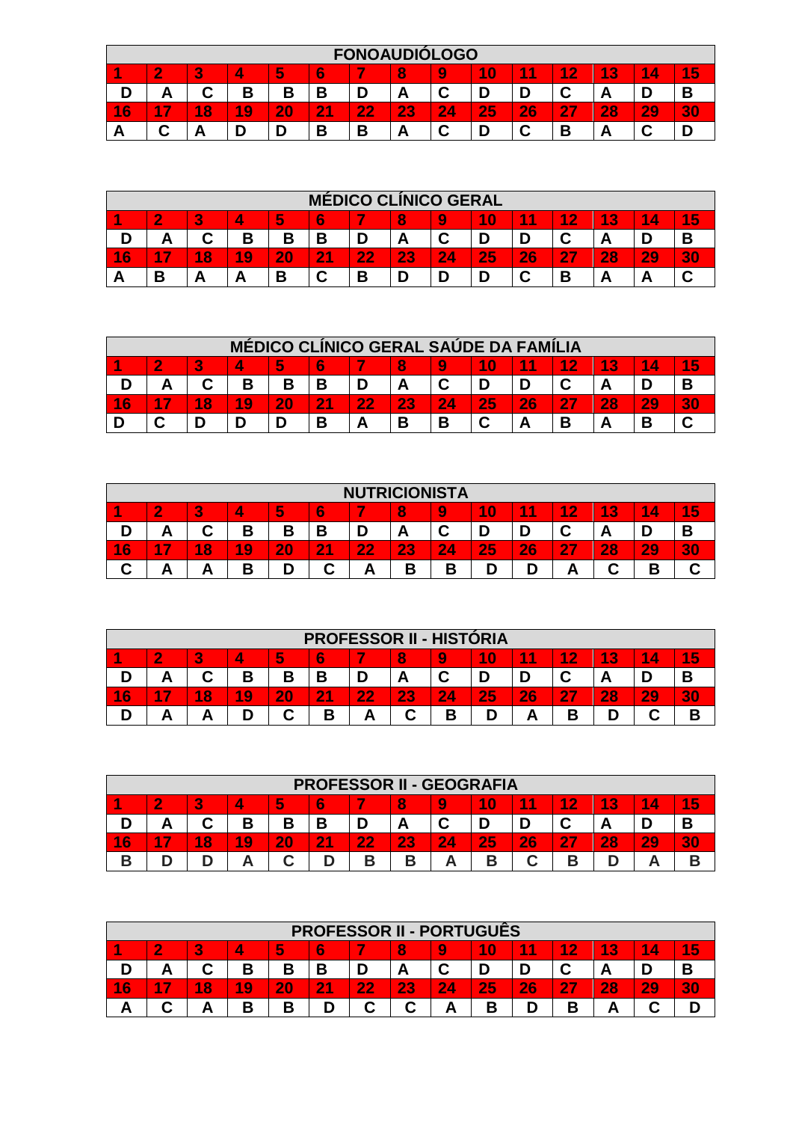|    |                                                                                                            |        |    |    |    |    |    | <b>FONOAUDIOLOGO</b> |    |    |    |    |        |    |  |
|----|------------------------------------------------------------------------------------------------------------|--------|----|----|----|----|----|----------------------|----|----|----|----|--------|----|--|
|    | 1<br>10<br>1<br>4<br>15<br>и<br>5<br>В<br>$\overline{2}$<br>6<br>2<br>8<br>4<br>4<br>9<br>4<br>J<br>$\sim$ |        |    |    |    |    |    |                      |    |    |    |    |        |    |  |
| D  | В<br>В<br>r<br>⌒<br>В<br>В<br>D<br>D<br>r<br>A<br>А<br>u<br>م<br>u<br>−                                    |        |    |    |    |    |    |                      |    |    |    |    |        |    |  |
| 16 | $\mathbf{r}$<br>4                                                                                          | 8<br>A | 19 | 20 | 21 | 22 | 23 | 24                   | 25 | 26 | 27 | 28 | 29     | 30 |  |
| r  |                                                                                                            | г.     | ►  |    | В  | В  | A  |                      | D  |    | В  | n  | ◚<br>u |    |  |

|        |                                                                                                         |    |    |    | <b>MÉDICO CLÍNICO GERAL</b> |        |    |    |    |    |    |    |    |                               |  |
|--------|---------------------------------------------------------------------------------------------------------|----|----|----|-----------------------------|--------|----|----|----|----|----|----|----|-------------------------------|--|
|        | 5<br>4<br>5<br>8<br>10<br>$\mathbf{\mathcal{P}}$<br>4<br>6<br>1<br>Æ<br>2<br>G<br>и<br>4<br>9<br>$\sim$ |    |    |    |                             |        |    |    |    |    |    |    |    |                               |  |
|        | В<br>В<br>В<br>⌒<br>⌒<br>D<br>◠<br>Α<br>ື<br>r                                                          |    |    |    |                             |        |    |    |    |    |    |    |    |                               |  |
| 6<br>4 | -7                                                                                                      | 18 | 19 | 20 | $\overline{21}$             | 22     | 23 | 24 | 25 | 26 | 47 | 28 | 29 | $\bullet$<br>$\triangleright$ |  |
|        | D                                                                                                       | −  | ┍  | В  | ⌒                           | D<br>J | n  |    |    |    | В  |    | -  |                               |  |

|        |                                                                                           |    |    |    |    |    |    |    | <b>MÉDICO CLÍNICO GERAL SAÚDE DA FAMÍLIA</b> |    |            |    |    |  |  |
|--------|-------------------------------------------------------------------------------------------|----|----|----|----|----|----|----|----------------------------------------------|----|------------|----|----|--|--|
|        | 5<br>$\triangle$<br>4<br>4<br>$\mathbf{\Omega}$<br>8<br>6<br>10<br>A.<br>Δ<br>и<br>Q<br>5 |    |    |    |    |    |    |    |                                              |    |            |    |    |  |  |
|        | В<br>Β<br>Β<br>~<br>A                                                                     |    |    |    |    |    |    |    |                                              |    |            |    |    |  |  |
| 6<br>4 |                                                                                           | 18 | 19 | 20 | 21 | 22 | 23 | 24 | 25                                           | 26 | <b>APT</b> | 28 | 29 |  |  |
|        |                                                                                           |    | D  |    | B  |    | B  | В  | C                                            |    | В          |    | В  |  |  |

|        |                                                                                                          |        |        |    |                     | <b>NUTRICIONISTA</b> |        |        |    |    |           |    |    |         |  |
|--------|----------------------------------------------------------------------------------------------------------|--------|--------|----|---------------------|----------------------|--------|--------|----|----|-----------|----|----|---------|--|
|        | 5<br>6<br>10<br>4<br>3<br>8<br>4<br>-2<br>$\bullet$<br>4<br>۸<br>1<br>Q<br>L.<br>л<br>4<br>Э<br><b>A</b> |        |        |    |                     |                      |        |        |    |    |           |    |    |         |  |
| D      | В<br>⌒<br>D<br>В<br>$\ddot{\phantom{m}}$<br>n<br>A<br>u<br>D<br>Ō.<br>U<br><u>т</u><br>г                 |        |        |    |                     |                      |        |        |    |    |           |    |    |         |  |
| 16     | 7<br>л                                                                                                   | 8<br>4 | 19     | 20 | $\overline{2}$<br>А | 22                   | 23     | 24     | 25 | 26 | <b>27</b> | 28 | 29 | n<br>30 |  |
| r<br>u |                                                                                                          | г      | D<br>U | D  | ~<br>حت             | А                    | n<br>∍ | ∍<br>D |    | D  | г         |    | D  |         |  |

|                      | <b>PROFESSOR II - HISTÓRIA</b>                                                     |        |    |    |           |    |    |    |    |    |    |    |    |    |  |
|----------------------|------------------------------------------------------------------------------------|--------|----|----|-----------|----|----|----|----|----|----|----|----|----|--|
|                      | 15<br>4<br>3<br>6<br>10<br>и<br>$\bullet$<br>8<br>и<br>4<br>$\sim$<br>1<br>4<br>l. |        |    |    |           |    |    |    |    |    |    |    |    |    |  |
|                      | ́г                                                                                 |        | В  | В  | В         |    | А  |    |    |    | r  | r  |    |    |  |
| $6\overline{6}$<br>1 | $\sim$                                                                             | 8<br>A | 19 | 20 | <b>21</b> | 22 | 23 | 24 | 25 | 26 | 27 | 28 | 29 | 30 |  |
|                      |                                                                                    |        | n  | ⌒  | в         | г  | ⌒  | в  |    | ı  | D  |    |    | B  |  |

|        | <b>PROFESSOR II - GEOGRAFIA</b>                                                                                               |        |    |    |    |    |    |    |    |    |           |    |    |   |  |
|--------|-------------------------------------------------------------------------------------------------------------------------------|--------|----|----|----|----|----|----|----|----|-----------|----|----|---|--|
|        | 5<br>4<br>4<br>$\mathbf{\Omega}$<br>$\triangleright$<br>и<br>$\mathcal{L}$<br>10<br>6<br>4<br>8<br>A<br>1<br>4<br>b<br>$\sim$ |        |    |    |    |    |    |    |    |    |           |    |    |   |  |
|        | o                                                                                                                             | ⌒      | В  | В  | В  |    | -  |    |    |    | r<br>ື    |    |    |   |  |
| 6<br>и | $\sim$                                                                                                                        | 8<br>4 | 19 | 20 | 21 | 22 | 23 | 24 | 25 | 26 | <b>27</b> | 28 | 20 |   |  |
| n      |                                                                                                                               |        |    | ⌒  |    | R  |    |    | D  | ⌒  | −.        |    |    | D |  |

|        | <b>PROFESSOR II - PORTUGUËS</b>                                                |        |        |    |    |    |    |                 |    |    |   |    |    |  |  |
|--------|--------------------------------------------------------------------------------|--------|--------|----|----|----|----|-----------------|----|----|---|----|----|--|--|
|        | и<br>5<br>1<br>్ష<br>4<br>ാ<br>10<br>и<br>8<br>и<br>4<br>9<br>O<br>о<br>$\sim$ |        |        |    |    |    |    |                 |    |    |   |    |    |  |  |
|        | r                                                                              |        | D<br>D | В  | Β  |    | A  |                 |    |    |   |    |    |  |  |
| 6<br>4 | $\sim$                                                                         | 8<br>A | 19     | 20 | 21 | 22 | 23 | $\overline{24}$ | 25 | 26 | Æ | 28 | 29 |  |  |
|        |                                                                                |        | B      | R  |    | r  | ◠  |                 |    | D  |   |    |    |  |  |